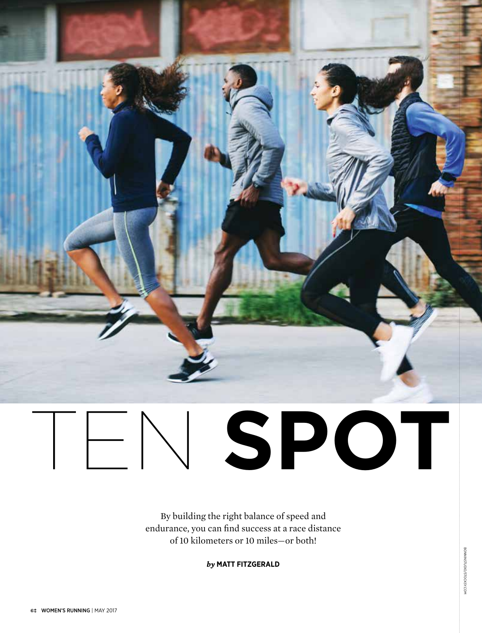

# Ten **Spot**

By building the right balance of speed and endurance, you can find success at a race distance of 10 kilometers or 10 miles—or both!

*by* **Matt Fitzgerald**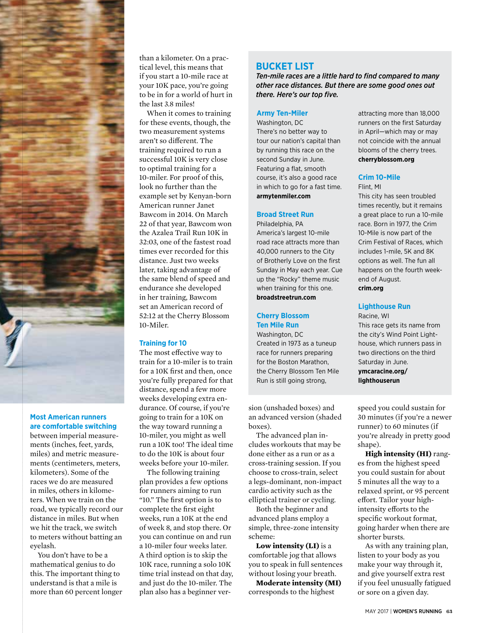

#### **Most American runners are comfortable switching**

between imperial measurements (inches, feet, yards, miles) and metric measurements (centimeters, meters, kilometers). Some of the races we do are measured in miles, others in kilometers. When we train on the road, we typically record our distance in miles. But when we hit the track, we switch to meters without batting an eyelash.

You don't have to be a mathematical genius to do this. The important thing to understand is that a mile is more than 60 percent longer

than a kilometer. On a practical level, this means that if you start a 10-mile race at your 10K pace, you're going to be in for a world of hurt in the last 3.8 miles!

When it comes to training for these events, though, the two measurement systems aren't so different. The training required to run a successful 10K is very close to optimal training for a 10-miler. For proof of this, look no further than the example set by Kenyan-born American runner Janet Bawcom in 2014. On March 22 of that year, Bawcom won the Azalea Trail Run 10K in 32:03, one of the fastest road times ever recorded for this distance. Just two weeks later, taking advantage of the same blend of speed and endurance she developed in her training, Bawcom set an American record of 52:12 at the Cherry Blossom 10-Miler.

#### **Training for 10**

The most effective way to train for a 10-miler is to train for a 10K first and then, once you're fully prepared for that distance, spend a few more weeks developing extra endurance. Of course, if you're going to train for a 10K on the way toward running a 10-miler, you might as well run a 10K too! The ideal time to do the 10K is about four weeks before your 10-miler.

The following training plan provides a few options for runners aiming to run "10." The first option is to complete the first eight weeks, run a 10K at the end of week 8, and stop there. Or you can continue on and run a 10-miler four weeks later. A third option is to skip the 10K race, running a solo 10K time trial instead on that day, and just do the 10-miler. The plan also has a beginner ver-

### **Bucket List**

*Ten-mile races are a little hard to find compared to many other race distances. But there are some good ones out there. Here's our top five.*

#### **Army Ten-Miler**

Washington, DC There's no better way to tour our nation's capital than by running this race on the second Sunday in June. Featuring a flat, smooth course, it's also a good race in which to go for a fast time. **armytenmiler.com**

#### **Broad Street Run**

Philadelphia, PA America's largest 10-mile road race attracts more than 40,000 runners to the City of Brotherly Love on the first Sunday in May each year. Cue up the "Rocky" theme music when training for this one. **broadstreetrun.com**

#### **Cherry Blossom Ten Mile Run**

Washington, DC Created in 1973 as a tuneup race for runners preparing for the Boston Marathon, the Cherry Blossom Ten Mile Run is still going strong,

sion (unshaded boxes) and an advanced version (shaded boxes).

The advanced plan includes workouts that may be done either as a run or as a cross-training session. If you choose to cross-train, select a legs-dominant, non-impact cardio activity such as the elliptical trainer or cycling.

Both the beginner and advanced plans employ a simple, three-zone intensity scheme:

**Low intensity (LI)** is a comfortable jog that allows you to speak in full sentences without losing your breath.

**Moderate intensity (MI)**  corresponds to the highest

attracting more than 18,000 runners on the first Saturday in April—which may or may not coincide with the annual blooms of the cherry trees. **cherryblossom.org**

#### **Crim 10-Mile**

Flint, MI

This city has seen troubled times recently, but it remains a great place to run a 10-mile race. Born in 1977, the Crim 10-Mile is now part of the Crim Festival of Races, which includes 1-mile, 5K and 8K options as well. The fun all happens on the fourth weekend of August. **crim.org**

#### **Lighthouse Run**

Racine, WI This race gets its name from the city's Wind Point Lighthouse, which runners pass in two directions on the third Saturday in June. **ymcaracine.org/ lighthouserun**

speed you could sustain for 30 minutes (if you're a newer runner) to 60 minutes (if you're already in pretty good shape).

**High intensity (HI)** ranges from the highest speed you could sustain for about 5 minutes all the way to a relaxed sprint, or 95 percent effort. Tailor your highintensity efforts to the specific workout format, going harder when there are shorter bursts.

As with any training plan, listen to your body as you make your way through it, and give yourself extra rest if you feel unusually fatigued or sore on a given day.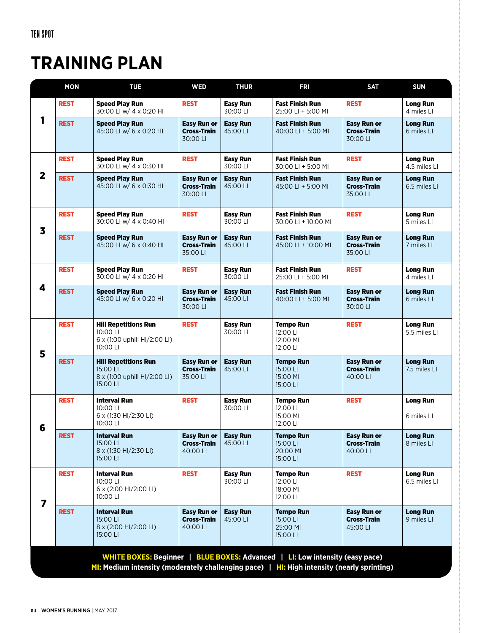## **TRAINING PLAN**

|                         | <b>MON</b>                                                                                                                                                                      | <b>TUE</b>                                                                          | <b>WED</b>                                           | <b>THUR</b>                 | <b>FRI</b>                                           | <b>SAT</b>                                           | <b>SUN</b>                      |  |  |  |  |
|-------------------------|---------------------------------------------------------------------------------------------------------------------------------------------------------------------------------|-------------------------------------------------------------------------------------|------------------------------------------------------|-----------------------------|------------------------------------------------------|------------------------------------------------------|---------------------------------|--|--|--|--|
| 1                       | <b>REST</b>                                                                                                                                                                     | <b>Speed Play Run</b><br>30:00 LI w/ 4 x 0:20 HI                                    | <b>REST</b>                                          | <b>Easy Run</b><br>30:00 LI | <b>Fast Finish Run</b><br>25:00 LI + 5:00 MI         | <b>REST</b>                                          | <b>Long Run</b><br>4 miles LI   |  |  |  |  |
|                         | <b>REST</b>                                                                                                                                                                     | <b>Speed Play Run</b><br>45:00 LI w/ 6 x 0:20 HI                                    | <b>Easy Run or</b><br><b>Cross-Train</b><br>30:00 LI | <b>Easy Run</b><br>45:00 LI | <b>Fast Finish Run</b><br>40:00 LI + 5:00 MI         | <b>Easy Run or</b><br><b>Cross-Train</b><br>30:00 LI | <b>Long Run</b><br>6 miles LI   |  |  |  |  |
| $\overline{\mathbf{2}}$ | <b>REST</b>                                                                                                                                                                     | <b>Speed Play Run</b><br>30:00 LI w/ 4 x 0:30 HI                                    | <b>REST</b>                                          | <b>Easy Run</b><br>30:00 LI | <b>Fast Finish Run</b><br>30:00 LI + 5:00 MI         | <b>REST</b>                                          | <b>Long Run</b><br>4.5 miles LI |  |  |  |  |
|                         | <b>REST</b>                                                                                                                                                                     | <b>Speed Play Run</b><br>45:00 LI w/ 6 x 0:30 HI                                    | <b>Easy Run or</b><br><b>Cross-Train</b><br>30:00 LI | <b>Easy Run</b><br>45:00 LI | <b>Fast Finish Run</b><br>45:00 LI + 5:00 MI         | <b>Easy Run or</b><br><b>Cross-Train</b><br>35:00 LI | <b>Long Run</b><br>6.5 miles LI |  |  |  |  |
| $\overline{\mathbf{3}}$ | <b>REST</b>                                                                                                                                                                     | <b>Speed Play Run</b><br>30:00 LI w/ 4 x 0:40 HI                                    | <b>REST</b>                                          | <b>Easy Run</b><br>30:00 LI | <b>Fast Finish Run</b><br>30:00 LI + 10:00 MI        | <b>REST</b>                                          | <b>Long Run</b><br>5 miles LI   |  |  |  |  |
|                         | <b>REST</b>                                                                                                                                                                     | <b>Speed Play Run</b><br>45:00 LI w/ 6 x 0:40 HI                                    | <b>Easy Run or</b><br><b>Cross-Train</b><br>35:00 LI | <b>Easy Run</b><br>45:00 LI | <b>Fast Finish Run</b><br>45:00 LI + 10:00 MI        | <b>Easy Run or</b><br><b>Cross-Train</b><br>35:00 LI | <b>Long Run</b><br>7 miles LI   |  |  |  |  |
| 4                       | <b>REST</b>                                                                                                                                                                     | <b>Speed Play Run</b><br>30:00 LI w/ 4 x 0:20 HI                                    | <b>REST</b>                                          | <b>Easy Run</b><br>30:00 LI | <b>Fast Finish Run</b><br>25:00 LI + 5:00 MI         | <b>REST</b>                                          | <b>Long Run</b><br>4 miles LI   |  |  |  |  |
|                         | <b>REST</b>                                                                                                                                                                     | <b>Speed Play Run</b><br>45:00 LI w/ 6 x 0:20 HI                                    | <b>Easy Run or</b><br><b>Cross-Train</b><br>30:00 LI | <b>Easy Run</b><br>45:00 LI | <b>Fast Finish Run</b><br>40:00 LI + 5:00 MI         | <b>Easy Run or</b><br><b>Cross-Train</b><br>30:00 LI | <b>Long Run</b><br>6 miles LI   |  |  |  |  |
| 5                       | <b>REST</b>                                                                                                                                                                     | <b>Hill Repetitions Run</b><br>10:00 LI<br>6 x (1:00 uphill HI/2:00 LI)<br>10:00 LI | <b>REST</b>                                          | <b>Easy Run</b><br>30:00 LI | <b>Tempo Run</b><br>12:00 LI<br>12:00 MI<br>12:00 LI | <b>REST</b>                                          | <b>Long Run</b><br>5.5 miles LI |  |  |  |  |
|                         | <b>REST</b>                                                                                                                                                                     | <b>Hill Repetitions Run</b><br>15:00 LI<br>8 x (1:00 uphill HI/2:00 LI)<br>15:00 LI | <b>Easy Run or</b><br><b>Cross-Train</b><br>35:00 LI | <b>Easy Run</b><br>45:00 LI | <b>Tempo Run</b><br>15:00 LI<br>15:00 MI<br>15:00 LI | <b>Easy Run or</b><br><b>Cross-Train</b><br>40:00 LI | <b>Long Run</b><br>7.5 miles LI |  |  |  |  |
| 6                       | <b>REST</b>                                                                                                                                                                     | <b>Interval Run</b><br>10:00 LI<br>6 x (1:30 HI/2:30 LI)<br>10:00 LI                | <b>REST</b>                                          | <b>Easy Run</b><br>30:00 LI | <b>Tempo Run</b><br>12:00 LI<br>15:00 MI<br>12:00 LI | <b>REST</b>                                          | <b>Long Run</b><br>6 miles LI   |  |  |  |  |
|                         | <b>REST</b>                                                                                                                                                                     | <b>Interval Run</b><br>15:00 LI<br>8 x (1:30 HI/2:30 LI)<br>15:00 LI                | <b>Easy Run or</b><br><b>Cross-Train</b><br>40:00 LI | <b>Easy Run</b><br>45:00 LI | <b>Tempo Run</b><br>15:00 LI<br>20:00 MI<br>15:00 LI | <b>Easy Run or</b><br><b>Cross-Train</b><br>40:00 LI | <b>Long Run</b><br>8 miles LI   |  |  |  |  |
| 7                       | <b>REST</b>                                                                                                                                                                     | <b>Interval Run</b><br>10:00 LI<br>6 x (2:00 HI/2:00 LI)<br>10:00 LI                | <b>REST</b>                                          | <b>Easy Run</b><br>30:00 LI | <b>Tempo Run</b><br>12:00 LI<br>18:00 MI<br>12:00 LI | <b>REST</b>                                          | <b>Long Run</b><br>6.5 miles LI |  |  |  |  |
|                         | <b>REST</b>                                                                                                                                                                     | <b>Interval Run</b><br>15:00 LI<br>8 x (2:00 HI/2:00 LI)<br>15:00 LI                | <b>Easy Run or</b><br><b>Cross-Train</b><br>40:00 LI | <b>Easy Run</b><br>45:00 LI | <b>Tempo Run</b><br>15:00 LI<br>25:00 MI<br>15:00 LI | <b>Easy Run or</b><br><b>Cross-Train</b><br>45:00 LI | <b>Long Run</b><br>9 miles LI   |  |  |  |  |
|                         | WHITE BOXES: Beginner   BLUE BOXES: Advanced   LI: Low intensity (easy pace)<br>MI: Medium intensity (moderately challenging pace) $\mid$ HI: High intensity (nearly sprinting) |                                                                                     |                                                      |                             |                                                      |                                                      |                                 |  |  |  |  |